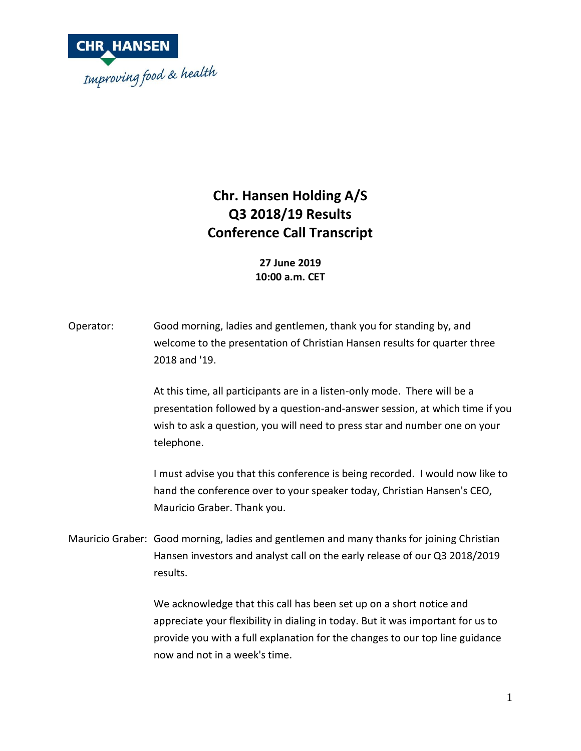

## **Chr. Hansen Holding A/S Q3 2018/19 Results Conference Call Transcript**

**27 June 2019 10:00 a.m. CET**

Operator: Good morning, ladies and gentlemen, thank you for standing by, and welcome to the presentation of Christian Hansen results for quarter three 2018 and '19.

> At this time, all participants are in a listen-only mode. There will be a presentation followed by a question-and-answer session, at which time if you wish to ask a question, you will need to press star and number one on your telephone.

> I must advise you that this conference is being recorded. I would now like to hand the conference over to your speaker today, Christian Hansen's CEO, Mauricio Graber. Thank you.

Mauricio Graber: Good morning, ladies and gentlemen and many thanks for joining Christian Hansen investors and analyst call on the early release of our Q3 2018/2019 results.

> We acknowledge that this call has been set up on a short notice and appreciate your flexibility in dialing in today. But it was important for us to provide you with a full explanation for the changes to our top line guidance now and not in a week's time.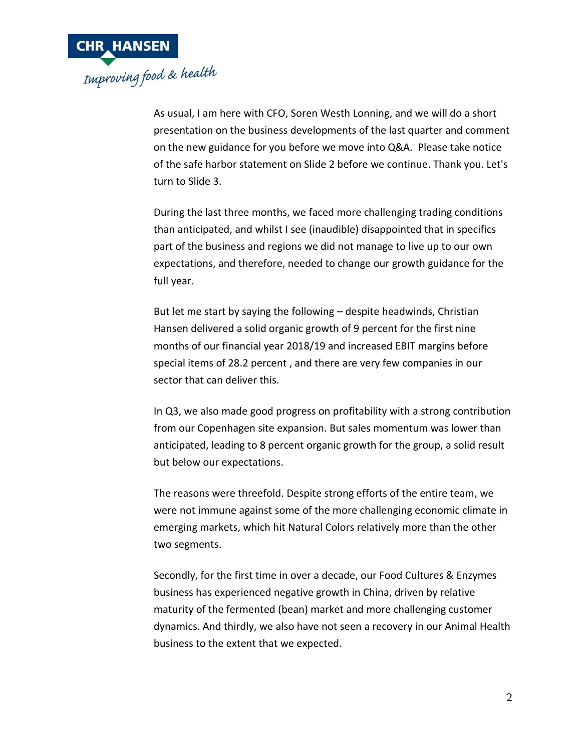

As usual, I am here with CFO, Soren Westh Lonning, and we will do a short presentation on the business developments of the last quarter and comment on the new guidance for you before we move into Q&A. Please take notice of the safe harbor statement on Slide 2 before we continue. Thank you. Let's turn to Slide 3.

During the last three months, we faced more challenging trading conditions than anticipated, and whilst I see (inaudible) disappointed that in specifics part of the business and regions we did not manage to live up to our own expectations, and therefore, needed to change our growth guidance for the full year.

But let me start by saying the following – despite headwinds, Christian Hansen delivered a solid organic growth of 9 percent for the first nine months of our financial year 2018/19 and increased EBIT margins before special items of 28.2 percent , and there are very few companies in our sector that can deliver this.

In Q3, we also made good progress on profitability with a strong contribution from our Copenhagen site expansion. But sales momentum was lower than anticipated, leading to 8 percent organic growth for the group, a solid result but below our expectations.

The reasons were threefold. Despite strong efforts of the entire team, we were not immune against some of the more challenging economic climate in emerging markets, which hit Natural Colors relatively more than the other two segments.

Secondly, for the first time in over a decade, our Food Cultures & Enzymes business has experienced negative growth in China, driven by relative maturity of the fermented (bean) market and more challenging customer dynamics. And thirdly, we also have not seen a recovery in our Animal Health business to the extent that we expected.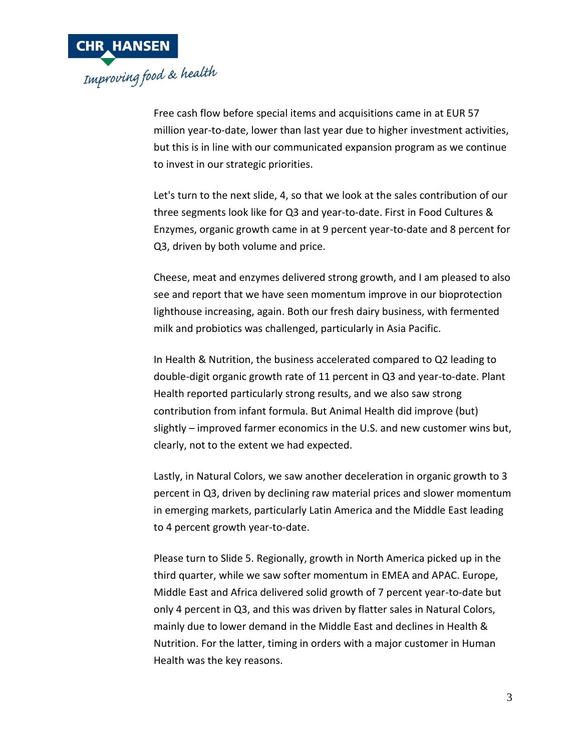

Free cash flow before special items and acquisitions came in at EUR 57 million year-to-date, lower than last year due to higher investment activities, but this is in line with our communicated expansion program as we continue to invest in our strategic priorities.

Let's turn to the next slide, 4, so that we look at the sales contribution of our three segments look like for Q3 and year-to-date. First in Food Cultures & Enzymes, organic growth came in at 9 percent year-to-date and 8 percent for Q3, driven by both volume and price.

Cheese, meat and enzymes delivered strong growth, and I am pleased to also see and report that we have seen momentum improve in our bioprotection lighthouse increasing, again. Both our fresh dairy business, with fermented milk and probiotics was challenged, particularly in Asia Pacific.

In Health & Nutrition, the business accelerated compared to Q2 leading to double-digit organic growth rate of 11 percent in Q3 and year-to-date. Plant Health reported particularly strong results, and we also saw strong contribution from infant formula. But Animal Health did improve (but) slightly – improved farmer economics in the U.S. and new customer wins but, clearly, not to the extent we had expected.

Lastly, in Natural Colors, we saw another deceleration in organic growth to 3 percent in Q3, driven by declining raw material prices and slower momentum in emerging markets, particularly Latin America and the Middle East leading to 4 percent growth year-to-date.

Please turn to Slide 5. Regionally, growth in North America picked up in the third quarter, while we saw softer momentum in EMEA and APAC. Europe, Middle East and Africa delivered solid growth of 7 percent year-to-date but only 4 percent in Q3, and this was driven by flatter sales in Natural Colors, mainly due to lower demand in the Middle East and declines in Health & Nutrition. For the latter, timing in orders with a major customer in Human Health was the key reasons.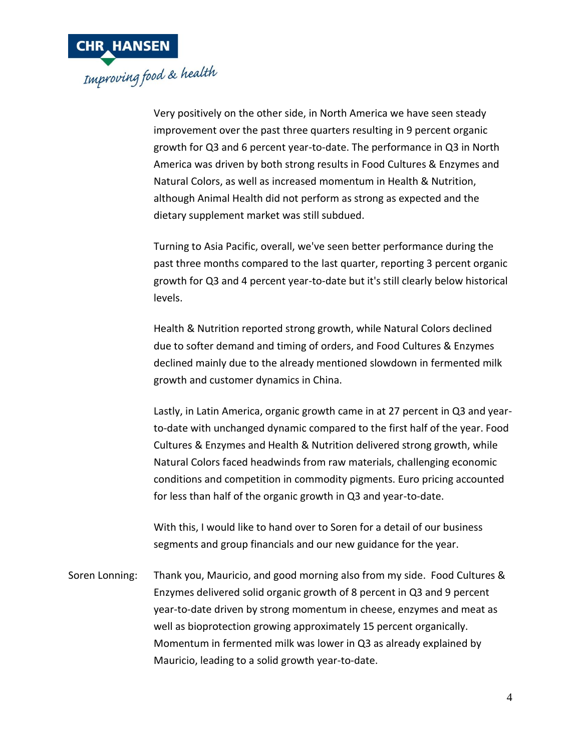

Very positively on the other side, in North America we have seen steady improvement over the past three quarters resulting in 9 percent organic growth for Q3 and 6 percent year-to-date. The performance in Q3 in North America was driven by both strong results in Food Cultures & Enzymes and Natural Colors, as well as increased momentum in Health & Nutrition, although Animal Health did not perform as strong as expected and the dietary supplement market was still subdued.

Turning to Asia Pacific, overall, we've seen better performance during the past three months compared to the last quarter, reporting 3 percent organic growth for Q3 and 4 percent year-to-date but it's still clearly below historical levels.

Health & Nutrition reported strong growth, while Natural Colors declined due to softer demand and timing of orders, and Food Cultures & Enzymes declined mainly due to the already mentioned slowdown in fermented milk growth and customer dynamics in China.

Lastly, in Latin America, organic growth came in at 27 percent in Q3 and yearto-date with unchanged dynamic compared to the first half of the year. Food Cultures & Enzymes and Health & Nutrition delivered strong growth, while Natural Colors faced headwinds from raw materials, challenging economic conditions and competition in commodity pigments. Euro pricing accounted for less than half of the organic growth in Q3 and year-to-date.

With this, I would like to hand over to Soren for a detail of our business segments and group financials and our new guidance for the year.

Soren Lonning: Thank you, Mauricio, and good morning also from my side. Food Cultures & Enzymes delivered solid organic growth of 8 percent in Q3 and 9 percent year-to-date driven by strong momentum in cheese, enzymes and meat as well as bioprotection growing approximately 15 percent organically. Momentum in fermented milk was lower in Q3 as already explained by Mauricio, leading to a solid growth year-to-date.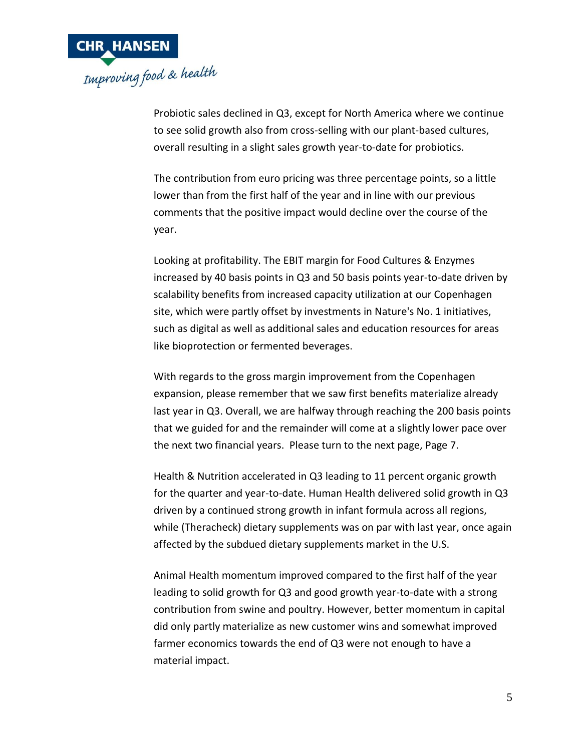

Probiotic sales declined in Q3, except for North America where we continue to see solid growth also from cross-selling with our plant-based cultures, overall resulting in a slight sales growth year-to-date for probiotics.

The contribution from euro pricing was three percentage points, so a little lower than from the first half of the year and in line with our previous comments that the positive impact would decline over the course of the year.

Looking at profitability. The EBIT margin for Food Cultures & Enzymes increased by 40 basis points in Q3 and 50 basis points year-to-date driven by scalability benefits from increased capacity utilization at our Copenhagen site, which were partly offset by investments in Nature's No. 1 initiatives, such as digital as well as additional sales and education resources for areas like bioprotection or fermented beverages.

With regards to the gross margin improvement from the Copenhagen expansion, please remember that we saw first benefits materialize already last year in Q3. Overall, we are halfway through reaching the 200 basis points that we guided for and the remainder will come at a slightly lower pace over the next two financial years. Please turn to the next page, Page 7.

Health & Nutrition accelerated in Q3 leading to 11 percent organic growth for the quarter and year-to-date. Human Health delivered solid growth in Q3 driven by a continued strong growth in infant formula across all regions, while (Theracheck) dietary supplements was on par with last year, once again affected by the subdued dietary supplements market in the U.S.

Animal Health momentum improved compared to the first half of the year leading to solid growth for Q3 and good growth year-to-date with a strong contribution from swine and poultry. However, better momentum in capital did only partly materialize as new customer wins and somewhat improved farmer economics towards the end of Q3 were not enough to have a material impact.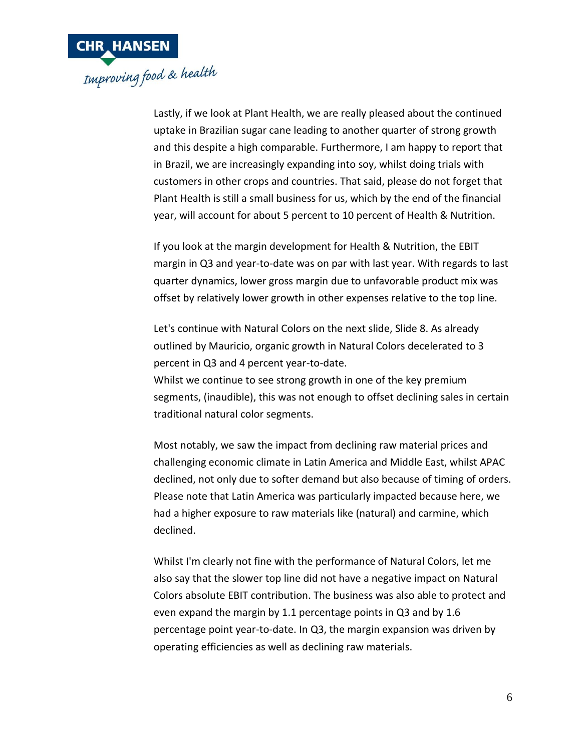

Lastly, if we look at Plant Health, we are really pleased about the continued uptake in Brazilian sugar cane leading to another quarter of strong growth and this despite a high comparable. Furthermore, I am happy to report that in Brazil, we are increasingly expanding into soy, whilst doing trials with customers in other crops and countries. That said, please do not forget that Plant Health is still a small business for us, which by the end of the financial year, will account for about 5 percent to 10 percent of Health & Nutrition.

If you look at the margin development for Health & Nutrition, the EBIT margin in Q3 and year-to-date was on par with last year. With regards to last quarter dynamics, lower gross margin due to unfavorable product mix was offset by relatively lower growth in other expenses relative to the top line.

Let's continue with Natural Colors on the next slide, Slide 8. As already outlined by Mauricio, organic growth in Natural Colors decelerated to 3 percent in Q3 and 4 percent year-to-date. Whilst we continue to see strong growth in one of the key premium segments, (inaudible), this was not enough to offset declining sales in certain

traditional natural color segments.

Most notably, we saw the impact from declining raw material prices and challenging economic climate in Latin America and Middle East, whilst APAC declined, not only due to softer demand but also because of timing of orders. Please note that Latin America was particularly impacted because here, we had a higher exposure to raw materials like (natural) and carmine, which declined.

Whilst I'm clearly not fine with the performance of Natural Colors, let me also say that the slower top line did not have a negative impact on Natural Colors absolute EBIT contribution. The business was also able to protect and even expand the margin by 1.1 percentage points in Q3 and by 1.6 percentage point year-to-date. In Q3, the margin expansion was driven by operating efficiencies as well as declining raw materials.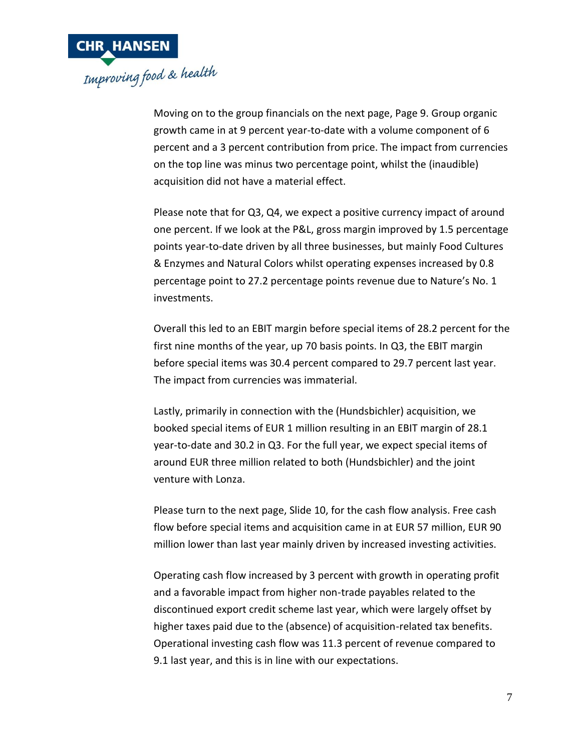

Moving on to the group financials on the next page, Page 9. Group organic growth came in at 9 percent year-to-date with a volume component of 6 percent and a 3 percent contribution from price. The impact from currencies on the top line was minus two percentage point, whilst the (inaudible) acquisition did not have a material effect.

Please note that for Q3, Q4, we expect a positive currency impact of around one percent. If we look at the P&L, gross margin improved by 1.5 percentage points year-to-date driven by all three businesses, but mainly Food Cultures & Enzymes and Natural Colors whilst operating expenses increased by 0.8 percentage point to 27.2 percentage points revenue due to Nature's No. 1 investments.

Overall this led to an EBIT margin before special items of 28.2 percent for the first nine months of the year, up 70 basis points. In Q3, the EBIT margin before special items was 30.4 percent compared to 29.7 percent last year. The impact from currencies was immaterial.

Lastly, primarily in connection with the (Hundsbichler) acquisition, we booked special items of EUR 1 million resulting in an EBIT margin of 28.1 year-to-date and 30.2 in Q3. For the full year, we expect special items of around EUR three million related to both (Hundsbichler) and the joint venture with Lonza.

Please turn to the next page, Slide 10, for the cash flow analysis. Free cash flow before special items and acquisition came in at EUR 57 million, EUR 90 million lower than last year mainly driven by increased investing activities.

Operating cash flow increased by 3 percent with growth in operating profit and a favorable impact from higher non-trade payables related to the discontinued export credit scheme last year, which were largely offset by higher taxes paid due to the (absence) of acquisition-related tax benefits. Operational investing cash flow was 11.3 percent of revenue compared to 9.1 last year, and this is in line with our expectations.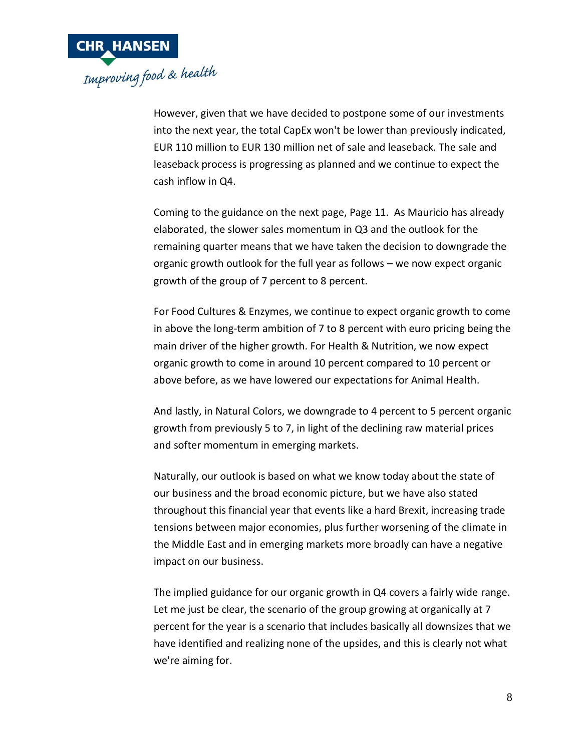

However, given that we have decided to postpone some of our investments into the next year, the total CapEx won't be lower than previously indicated, EUR 110 million to EUR 130 million net of sale and leaseback. The sale and leaseback process is progressing as planned and we continue to expect the cash inflow in Q4.

Coming to the guidance on the next page, Page 11. As Mauricio has already elaborated, the slower sales momentum in Q3 and the outlook for the remaining quarter means that we have taken the decision to downgrade the organic growth outlook for the full year as follows – we now expect organic growth of the group of 7 percent to 8 percent.

For Food Cultures & Enzymes, we continue to expect organic growth to come in above the long-term ambition of 7 to 8 percent with euro pricing being the main driver of the higher growth. For Health & Nutrition, we now expect organic growth to come in around 10 percent compared to 10 percent or above before, as we have lowered our expectations for Animal Health.

And lastly, in Natural Colors, we downgrade to 4 percent to 5 percent organic growth from previously 5 to 7, in light of the declining raw material prices and softer momentum in emerging markets.

Naturally, our outlook is based on what we know today about the state of our business and the broad economic picture, but we have also stated throughout this financial year that events like a hard Brexit, increasing trade tensions between major economies, plus further worsening of the climate in the Middle East and in emerging markets more broadly can have a negative impact on our business.

The implied guidance for our organic growth in Q4 covers a fairly wide range. Let me just be clear, the scenario of the group growing at organically at 7 percent for the year is a scenario that includes basically all downsizes that we have identified and realizing none of the upsides, and this is clearly not what we're aiming for.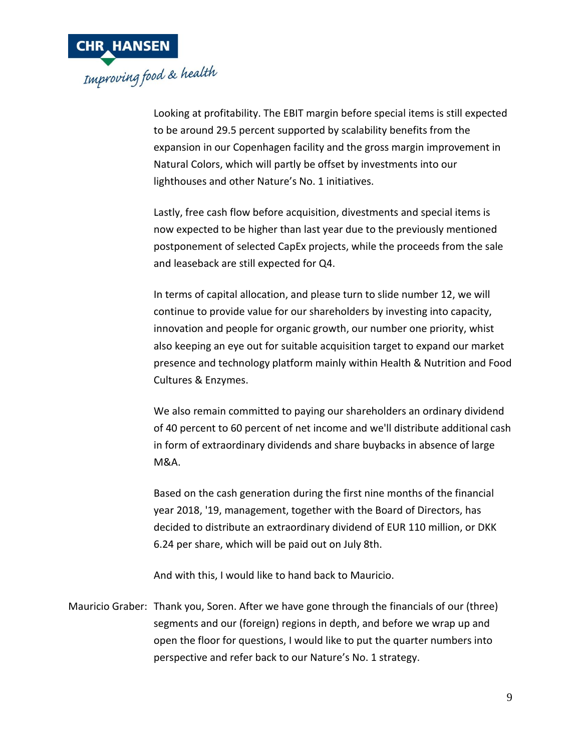

Looking at profitability. The EBIT margin before special items is still expected to be around 29.5 percent supported by scalability benefits from the expansion in our Copenhagen facility and the gross margin improvement in Natural Colors, which will partly be offset by investments into our lighthouses and other Nature's No. 1 initiatives.

Lastly, free cash flow before acquisition, divestments and special items is now expected to be higher than last year due to the previously mentioned postponement of selected CapEx projects, while the proceeds from the sale and leaseback are still expected for Q4.

In terms of capital allocation, and please turn to slide number 12, we will continue to provide value for our shareholders by investing into capacity, innovation and people for organic growth, our number one priority, whist also keeping an eye out for suitable acquisition target to expand our market presence and technology platform mainly within Health & Nutrition and Food Cultures & Enzymes.

We also remain committed to paying our shareholders an ordinary dividend of 40 percent to 60 percent of net income and we'll distribute additional cash in form of extraordinary dividends and share buybacks in absence of large M&A.

Based on the cash generation during the first nine months of the financial year 2018, '19, management, together with the Board of Directors, has decided to distribute an extraordinary dividend of EUR 110 million, or DKK 6.24 per share, which will be paid out on July 8th.

And with this, I would like to hand back to Mauricio.

Mauricio Graber: Thank you, Soren. After we have gone through the financials of our (three) segments and our (foreign) regions in depth, and before we wrap up and open the floor for questions, I would like to put the quarter numbers into perspective and refer back to our Nature's No. 1 strategy.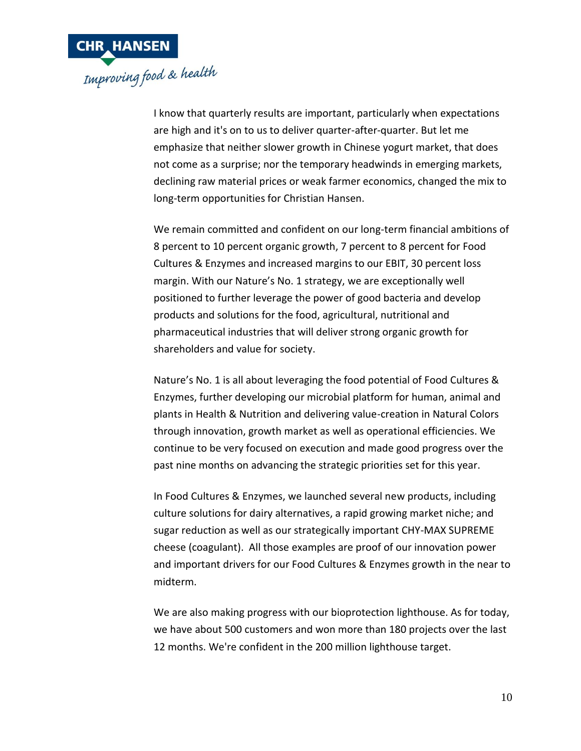

I know that quarterly results are important, particularly when expectations are high and it's on to us to deliver quarter-after-quarter. But let me emphasize that neither slower growth in Chinese yogurt market, that does not come as a surprise; nor the temporary headwinds in emerging markets, declining raw material prices or weak farmer economics, changed the mix to long-term opportunities for Christian Hansen.

We remain committed and confident on our long-term financial ambitions of 8 percent to 10 percent organic growth, 7 percent to 8 percent for Food Cultures & Enzymes and increased margins to our EBIT, 30 percent loss margin. With our Nature's No. 1 strategy, we are exceptionally well positioned to further leverage the power of good bacteria and develop products and solutions for the food, agricultural, nutritional and pharmaceutical industries that will deliver strong organic growth for shareholders and value for society.

Nature's No. 1 is all about leveraging the food potential of Food Cultures & Enzymes, further developing our microbial platform for human, animal and plants in Health & Nutrition and delivering value-creation in Natural Colors through innovation, growth market as well as operational efficiencies. We continue to be very focused on execution and made good progress over the past nine months on advancing the strategic priorities set for this year.

In Food Cultures & Enzymes, we launched several new products, including culture solutions for dairy alternatives, a rapid growing market niche; and sugar reduction as well as our strategically important CHY-MAX SUPREME cheese (coagulant). All those examples are proof of our innovation power and important drivers for our Food Cultures & Enzymes growth in the near to midterm.

We are also making progress with our bioprotection lighthouse. As for today, we have about 500 customers and won more than 180 projects over the last 12 months. We're confident in the 200 million lighthouse target.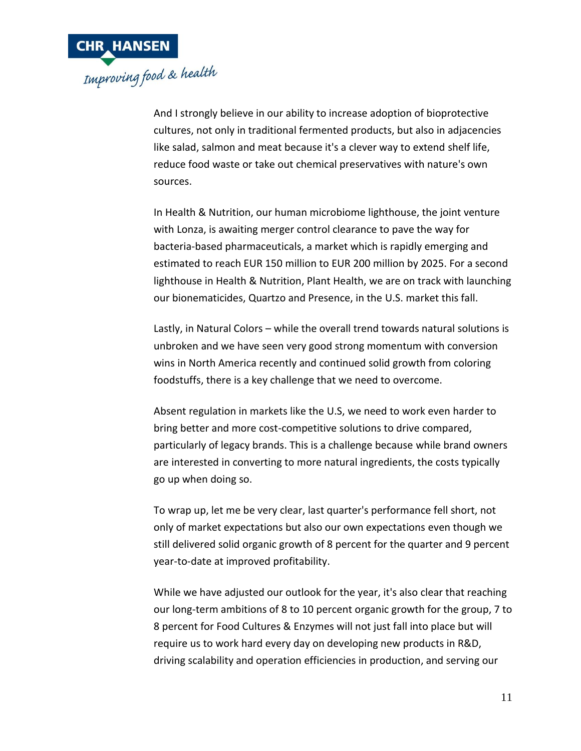

And I strongly believe in our ability to increase adoption of bioprotective cultures, not only in traditional fermented products, but also in adjacencies like salad, salmon and meat because it's a clever way to extend shelf life, reduce food waste or take out chemical preservatives with nature's own sources.

In Health & Nutrition, our human microbiome lighthouse, the joint venture with Lonza, is awaiting merger control clearance to pave the way for bacteria-based pharmaceuticals, a market which is rapidly emerging and estimated to reach EUR 150 million to EUR 200 million by 2025. For a second lighthouse in Health & Nutrition, Plant Health, we are on track with launching our bionematicides, Quartzo and Presence, in the U.S. market this fall.

Lastly, in Natural Colors – while the overall trend towards natural solutions is unbroken and we have seen very good strong momentum with conversion wins in North America recently and continued solid growth from coloring foodstuffs, there is a key challenge that we need to overcome.

Absent regulation in markets like the U.S, we need to work even harder to bring better and more cost-competitive solutions to drive compared, particularly of legacy brands. This is a challenge because while brand owners are interested in converting to more natural ingredients, the costs typically go up when doing so.

To wrap up, let me be very clear, last quarter's performance fell short, not only of market expectations but also our own expectations even though we still delivered solid organic growth of 8 percent for the quarter and 9 percent year-to-date at improved profitability.

While we have adjusted our outlook for the year, it's also clear that reaching our long-term ambitions of 8 to 10 percent organic growth for the group, 7 to 8 percent for Food Cultures & Enzymes will not just fall into place but will require us to work hard every day on developing new products in R&D, driving scalability and operation efficiencies in production, and serving our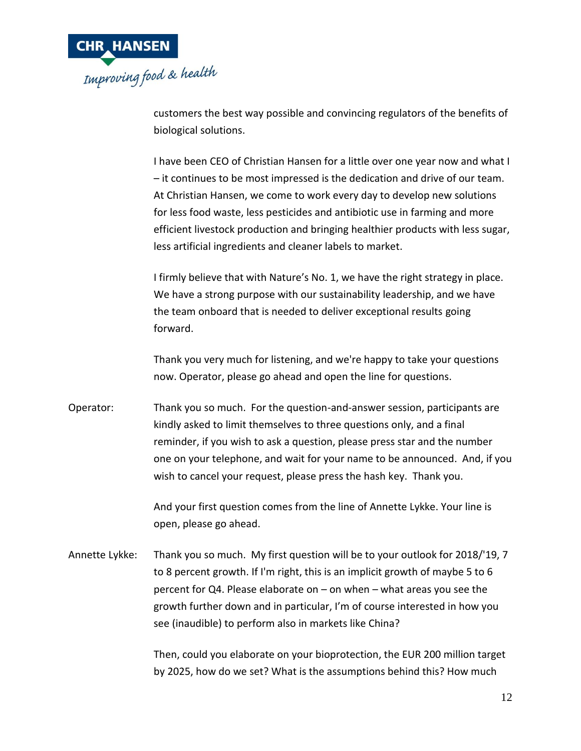

customers the best way possible and convincing regulators of the benefits of biological solutions.

I have been CEO of Christian Hansen for a little over one year now and what I – it continues to be most impressed is the dedication and drive of our team. At Christian Hansen, we come to work every day to develop new solutions for less food waste, less pesticides and antibiotic use in farming and more efficient livestock production and bringing healthier products with less sugar, less artificial ingredients and cleaner labels to market.

I firmly believe that with Nature's No. 1, we have the right strategy in place. We have a strong purpose with our sustainability leadership, and we have the team onboard that is needed to deliver exceptional results going forward.

Thank you very much for listening, and we're happy to take your questions now. Operator, please go ahead and open the line for questions.

Operator: Thank you so much. For the question-and-answer session, participants are kindly asked to limit themselves to three questions only, and a final reminder, if you wish to ask a question, please press star and the number one on your telephone, and wait for your name to be announced. And, if you wish to cancel your request, please press the hash key. Thank you.

> And your first question comes from the line of Annette Lykke. Your line is open, please go ahead.

Annette Lykke: Thank you so much. My first question will be to your outlook for 2018/'19, 7 to 8 percent growth. If I'm right, this is an implicit growth of maybe 5 to 6 percent for Q4. Please elaborate on – on when – what areas you see the growth further down and in particular, I'm of course interested in how you see (inaudible) to perform also in markets like China?

> Then, could you elaborate on your bioprotection, the EUR 200 million target by 2025, how do we set? What is the assumptions behind this? How much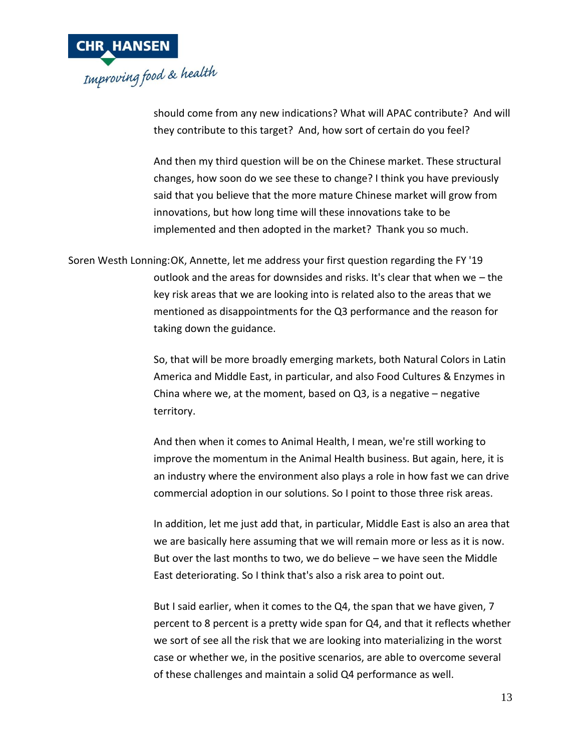

should come from any new indications? What will APAC contribute? And will they contribute to this target? And, how sort of certain do you feel?

And then my third question will be on the Chinese market. These structural changes, how soon do we see these to change? I think you have previously said that you believe that the more mature Chinese market will grow from innovations, but how long time will these innovations take to be implemented and then adopted in the market? Thank you so much.

Soren Westh Lonning:OK, Annette, let me address your first question regarding the FY '19 outlook and the areas for downsides and risks. It's clear that when we – the key risk areas that we are looking into is related also to the areas that we mentioned as disappointments for the Q3 performance and the reason for taking down the guidance.

> So, that will be more broadly emerging markets, both Natural Colors in Latin America and Middle East, in particular, and also Food Cultures & Enzymes in China where we, at the moment, based on Q3, is a negative – negative territory.

> And then when it comes to Animal Health, I mean, we're still working to improve the momentum in the Animal Health business. But again, here, it is an industry where the environment also plays a role in how fast we can drive commercial adoption in our solutions. So I point to those three risk areas.

> In addition, let me just add that, in particular, Middle East is also an area that we are basically here assuming that we will remain more or less as it is now. But over the last months to two, we do believe – we have seen the Middle East deteriorating. So I think that's also a risk area to point out.

> But I said earlier, when it comes to the Q4, the span that we have given, 7 percent to 8 percent is a pretty wide span for Q4, and that it reflects whether we sort of see all the risk that we are looking into materializing in the worst case or whether we, in the positive scenarios, are able to overcome several of these challenges and maintain a solid Q4 performance as well.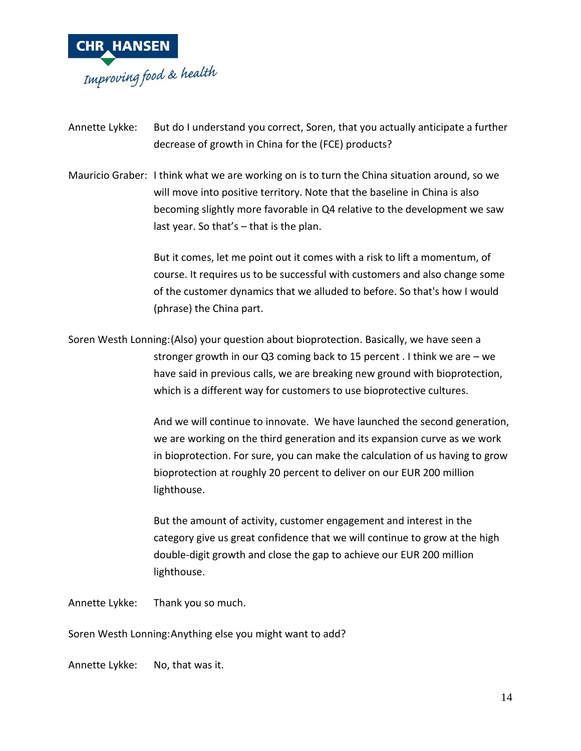

Annette Lykke: But do I understand you correct, Soren, that you actually anticipate a further decrease of growth in China for the (FCE) products?

Mauricio Graber: I think what we are working on is to turn the China situation around, so we will move into positive territory. Note that the baseline in China is also becoming slightly more favorable in Q4 relative to the development we saw last year. So that's – that is the plan.

> But it comes, let me point out it comes with a risk to lift a momentum, of course. It requires us to be successful with customers and also change some of the customer dynamics that we alluded to before. So that's how I would (phrase) the China part.

Soren Westh Lonning:(Also) your question about bioprotection. Basically, we have seen a stronger growth in our Q3 coming back to 15 percent . I think we are – we have said in previous calls, we are breaking new ground with bioprotection, which is a different way for customers to use bioprotective cultures.

> And we will continue to innovate. We have launched the second generation, we are working on the third generation and its expansion curve as we work in bioprotection. For sure, you can make the calculation of us having to grow bioprotection at roughly 20 percent to deliver on our EUR 200 million lighthouse.

But the amount of activity, customer engagement and interest in the category give us great confidence that we will continue to grow at the high double-digit growth and close the gap to achieve our EUR 200 million lighthouse.

Annette Lykke: Thank you so much.

Soren Westh Lonning:Anything else you might want to add?

Annette Lykke: No, that was it.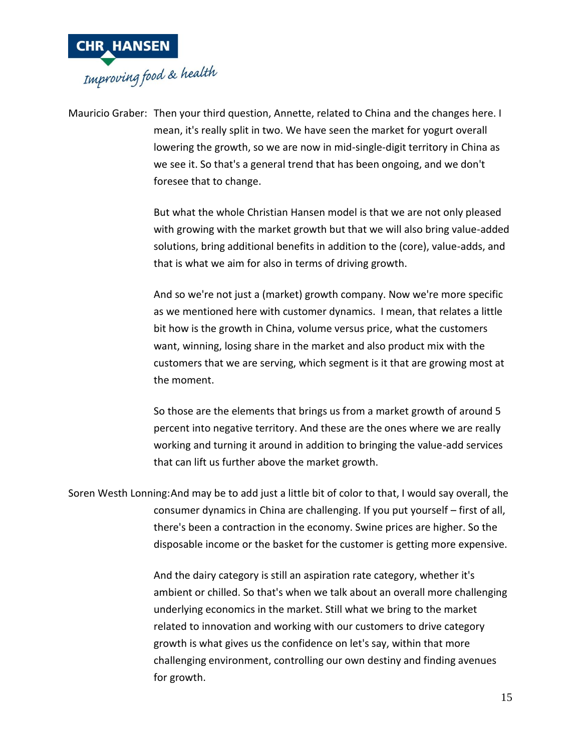

Mauricio Graber: Then your third question, Annette, related to China and the changes here. I mean, it's really split in two. We have seen the market for yogurt overall lowering the growth, so we are now in mid-single-digit territory in China as we see it. So that's a general trend that has been ongoing, and we don't foresee that to change.

> But what the whole Christian Hansen model is that we are not only pleased with growing with the market growth but that we will also bring value-added solutions, bring additional benefits in addition to the (core), value-adds, and that is what we aim for also in terms of driving growth.

And so we're not just a (market) growth company. Now we're more specific as we mentioned here with customer dynamics. I mean, that relates a little bit how is the growth in China, volume versus price, what the customers want, winning, losing share in the market and also product mix with the customers that we are serving, which segment is it that are growing most at the moment.

So those are the elements that brings us from a market growth of around 5 percent into negative territory. And these are the ones where we are really working and turning it around in addition to bringing the value-add services that can lift us further above the market growth.

Soren Westh Lonning:And may be to add just a little bit of color to that, I would say overall, the consumer dynamics in China are challenging. If you put yourself – first of all, there's been a contraction in the economy. Swine prices are higher. So the disposable income or the basket for the customer is getting more expensive.

> And the dairy category is still an aspiration rate category, whether it's ambient or chilled. So that's when we talk about an overall more challenging underlying economics in the market. Still what we bring to the market related to innovation and working with our customers to drive category growth is what gives us the confidence on let's say, within that more challenging environment, controlling our own destiny and finding avenues for growth.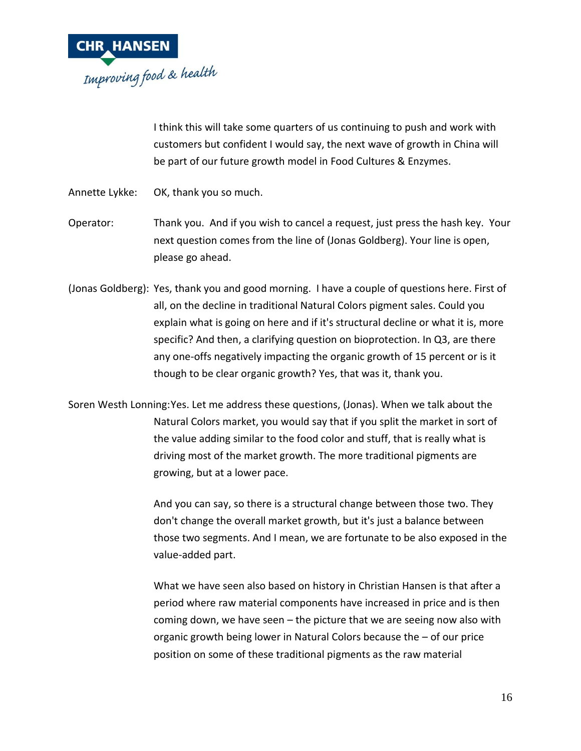

I think this will take some quarters of us continuing to push and work with customers but confident I would say, the next wave of growth in China will be part of our future growth model in Food Cultures & Enzymes.

- Annette Lykke: OK, thank you so much.
- Operator: Thank you. And if you wish to cancel a request, just press the hash key. Your next question comes from the line of (Jonas Goldberg). Your line is open, please go ahead.
- (Jonas Goldberg): Yes, thank you and good morning. I have a couple of questions here. First of all, on the decline in traditional Natural Colors pigment sales. Could you explain what is going on here and if it's structural decline or what it is, more specific? And then, a clarifying question on bioprotection. In Q3, are there any one-offs negatively impacting the organic growth of 15 percent or is it though to be clear organic growth? Yes, that was it, thank you.

Soren Westh Lonning:Yes. Let me address these questions, (Jonas). When we talk about the Natural Colors market, you would say that if you split the market in sort of the value adding similar to the food color and stuff, that is really what is driving most of the market growth. The more traditional pigments are growing, but at a lower pace.

> And you can say, so there is a structural change between those two. They don't change the overall market growth, but it's just a balance between those two segments. And I mean, we are fortunate to be also exposed in the value-added part.

What we have seen also based on history in Christian Hansen is that after a period where raw material components have increased in price and is then coming down, we have seen – the picture that we are seeing now also with organic growth being lower in Natural Colors because the – of our price position on some of these traditional pigments as the raw material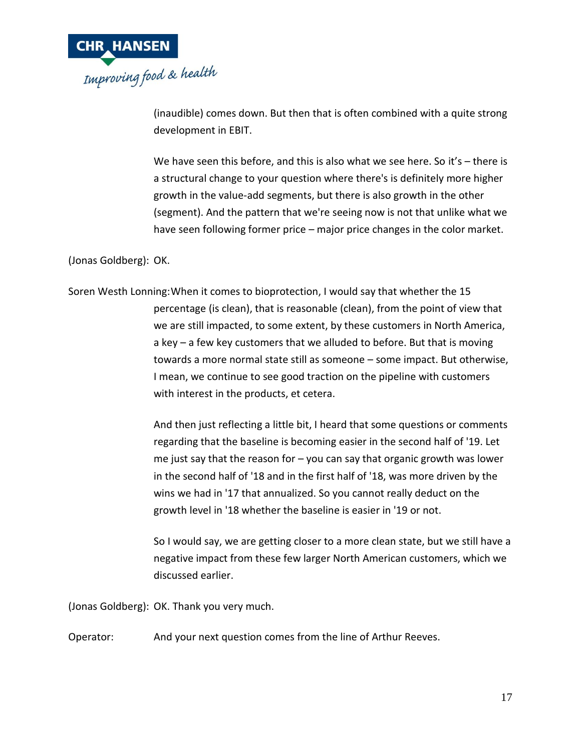

(inaudible) comes down. But then that is often combined with a quite strong development in EBIT.

We have seen this before, and this is also what we see here. So it's - there is a structural change to your question where there's is definitely more higher growth in the value-add segments, but there is also growth in the other (segment). And the pattern that we're seeing now is not that unlike what we have seen following former price – major price changes in the color market.

(Jonas Goldberg): OK.

Soren Westh Lonning:When it comes to bioprotection, I would say that whether the 15 percentage (is clean), that is reasonable (clean), from the point of view that we are still impacted, to some extent, by these customers in North America, a key – a few key customers that we alluded to before. But that is moving towards a more normal state still as someone – some impact. But otherwise, I mean, we continue to see good traction on the pipeline with customers with interest in the products, et cetera.

> And then just reflecting a little bit, I heard that some questions or comments regarding that the baseline is becoming easier in the second half of '19. Let me just say that the reason for – you can say that organic growth was lower in the second half of '18 and in the first half of '18, was more driven by the wins we had in '17 that annualized. So you cannot really deduct on the growth level in '18 whether the baseline is easier in '19 or not.

> So I would say, we are getting closer to a more clean state, but we still have a negative impact from these few larger North American customers, which we discussed earlier.

(Jonas Goldberg): OK. Thank you very much.

Operator: And your next question comes from the line of Arthur Reeves.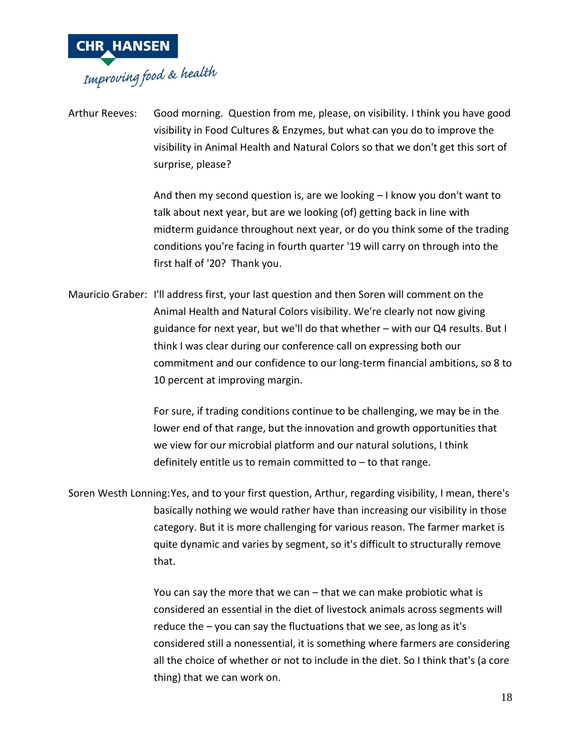

Arthur Reeves: Good morning. Question from me, please, on visibility. I think you have good visibility in Food Cultures & Enzymes, but what can you do to improve the visibility in Animal Health and Natural Colors so that we don't get this sort of surprise, please?

> And then my second question is, are we looking – I know you don't want to talk about next year, but are we looking (of) getting back in line with midterm guidance throughout next year, or do you think some of the trading conditions you're facing in fourth quarter '19 will carry on through into the first half of '20? Thank you.

Mauricio Graber: I'll address first, your last question and then Soren will comment on the Animal Health and Natural Colors visibility. We're clearly not now giving guidance for next year, but we'll do that whether – with our Q4 results. But I think I was clear during our conference call on expressing both our commitment and our confidence to our long-term financial ambitions, so 8 to 10 percent at improving margin.

> For sure, if trading conditions continue to be challenging, we may be in the lower end of that range, but the innovation and growth opportunities that we view for our microbial platform and our natural solutions, I think definitely entitle us to remain committed to  $-$  to that range.

Soren Westh Lonning:Yes, and to your first question, Arthur, regarding visibility, I mean, there's basically nothing we would rather have than increasing our visibility in those category. But it is more challenging for various reason. The farmer market is quite dynamic and varies by segment, so it's difficult to structurally remove that.

> You can say the more that we can – that we can make probiotic what is considered an essential in the diet of livestock animals across segments will reduce the – you can say the fluctuations that we see, as long as it's considered still a nonessential, it is something where farmers are considering all the choice of whether or not to include in the diet. So I think that's (a core thing) that we can work on.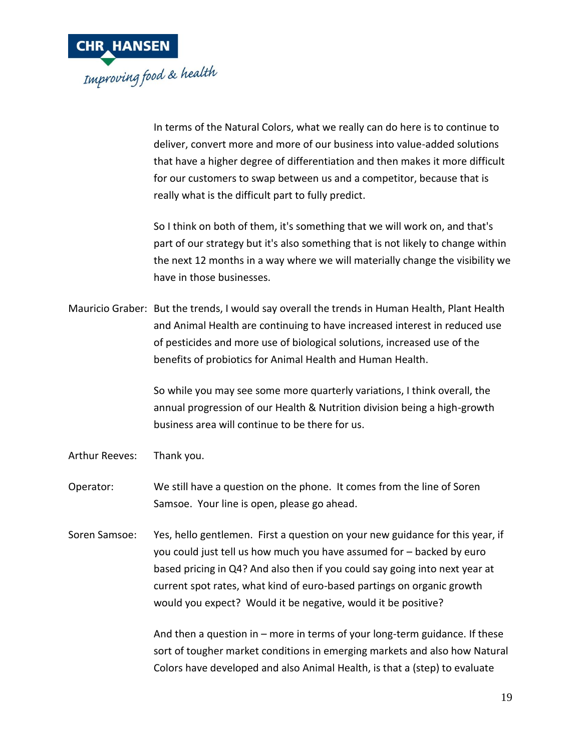

In terms of the Natural Colors, what we really can do here is to continue to deliver, convert more and more of our business into value-added solutions that have a higher degree of differentiation and then makes it more difficult for our customers to swap between us and a competitor, because that is really what is the difficult part to fully predict.

So I think on both of them, it's something that we will work on, and that's part of our strategy but it's also something that is not likely to change within the next 12 months in a way where we will materially change the visibility we have in those businesses.

Mauricio Graber: But the trends, I would say overall the trends in Human Health, Plant Health and Animal Health are continuing to have increased interest in reduced use of pesticides and more use of biological solutions, increased use of the benefits of probiotics for Animal Health and Human Health.

> So while you may see some more quarterly variations, I think overall, the annual progression of our Health & Nutrition division being a high-growth business area will continue to be there for us.

- Arthur Reeves: Thank you.
- Operator: We still have a question on the phone. It comes from the line of Soren Samsoe. Your line is open, please go ahead.
- Soren Samsoe: Yes, hello gentlemen. First a question on your new guidance for this year, if you could just tell us how much you have assumed for – backed by euro based pricing in Q4? And also then if you could say going into next year at current spot rates, what kind of euro-based partings on organic growth would you expect? Would it be negative, would it be positive?

And then a question in – more in terms of your long-term guidance. If these sort of tougher market conditions in emerging markets and also how Natural Colors have developed and also Animal Health, is that a (step) to evaluate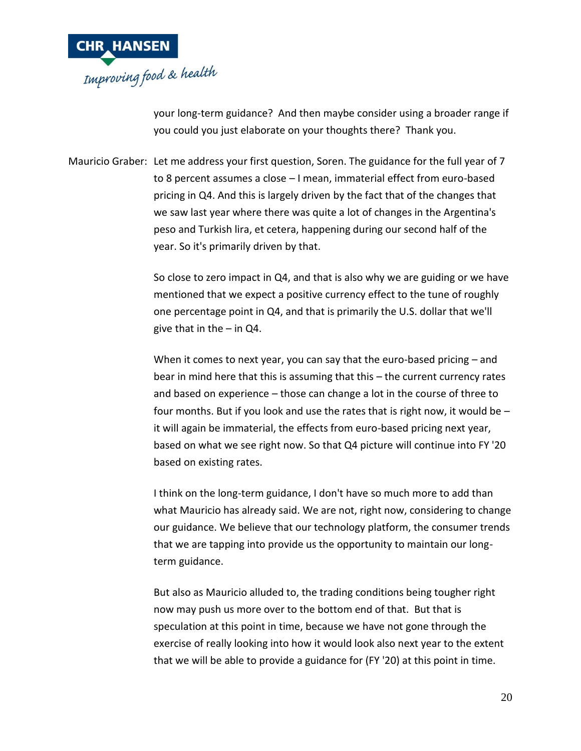

your long-term guidance? And then maybe consider using a broader range if you could you just elaborate on your thoughts there? Thank you.

Mauricio Graber: Let me address your first question, Soren. The guidance for the full year of 7 to 8 percent assumes a close – I mean, immaterial effect from euro-based pricing in Q4. And this is largely driven by the fact that of the changes that we saw last year where there was quite a lot of changes in the Argentina's peso and Turkish lira, et cetera, happening during our second half of the year. So it's primarily driven by that.

> So close to zero impact in Q4, and that is also why we are guiding or we have mentioned that we expect a positive currency effect to the tune of roughly one percentage point in Q4, and that is primarily the U.S. dollar that we'll give that in the  $-$  in Q4.

> When it comes to next year, you can say that the euro-based pricing – and bear in mind here that this is assuming that this – the current currency rates and based on experience – those can change a lot in the course of three to four months. But if you look and use the rates that is right now, it would be – it will again be immaterial, the effects from euro-based pricing next year, based on what we see right now. So that Q4 picture will continue into FY '20 based on existing rates.

> I think on the long-term guidance, I don't have so much more to add than what Mauricio has already said. We are not, right now, considering to change our guidance. We believe that our technology platform, the consumer trends that we are tapping into provide us the opportunity to maintain our longterm guidance.

But also as Mauricio alluded to, the trading conditions being tougher right now may push us more over to the bottom end of that. But that is speculation at this point in time, because we have not gone through the exercise of really looking into how it would look also next year to the extent that we will be able to provide a guidance for (FY '20) at this point in time.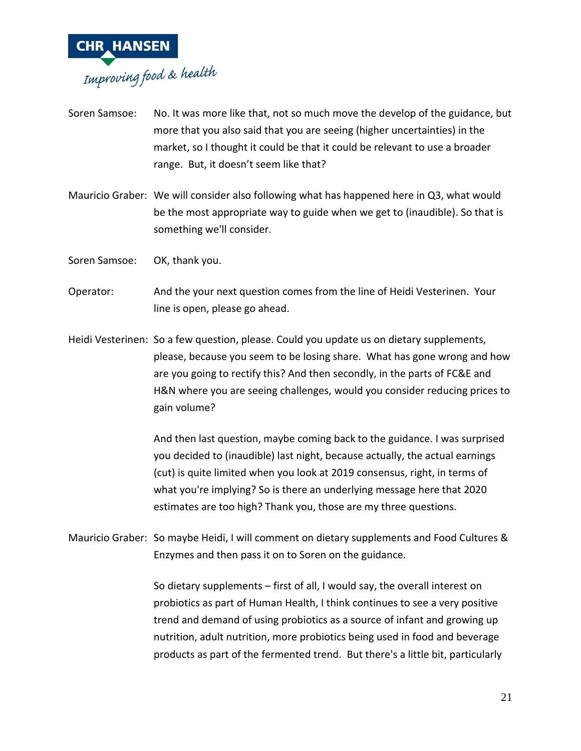

- Soren Samsoe: No. It was more like that, not so much move the develop of the guidance, but more that you also said that you are seeing (higher uncertainties) in the market, so I thought it could be that it could be relevant to use a broader range. But, it doesn't seem like that?
- Mauricio Graber: We will consider also following what has happened here in Q3, what would be the most appropriate way to guide when we get to (inaudible). So that is something we'll consider.
- Soren Samsoe: OK, thank you.
- Operator: And the your next question comes from the line of Heidi Vesterinen. Your line is open, please go ahead.
- Heidi Vesterinen: So a few question, please. Could you update us on dietary supplements, please, because you seem to be losing share. What has gone wrong and how are you going to rectify this? And then secondly, in the parts of FC&E and H&N where you are seeing challenges, would you consider reducing prices to gain volume?

And then last question, maybe coming back to the guidance. I was surprised you decided to (inaudible) last night, because actually, the actual earnings (cut) is quite limited when you look at 2019 consensus, right, in terms of what you're implying? So is there an underlying message here that 2020 estimates are too high? Thank you, those are my three questions.

Mauricio Graber: So maybe Heidi, I will comment on dietary supplements and Food Cultures & Enzymes and then pass it on to Soren on the guidance.

> So dietary supplements – first of all, I would say, the overall interest on probiotics as part of Human Health, I think continues to see a very positive trend and demand of using probiotics as a source of infant and growing up nutrition, adult nutrition, more probiotics being used in food and beverage products as part of the fermented trend. But there's a little bit, particularly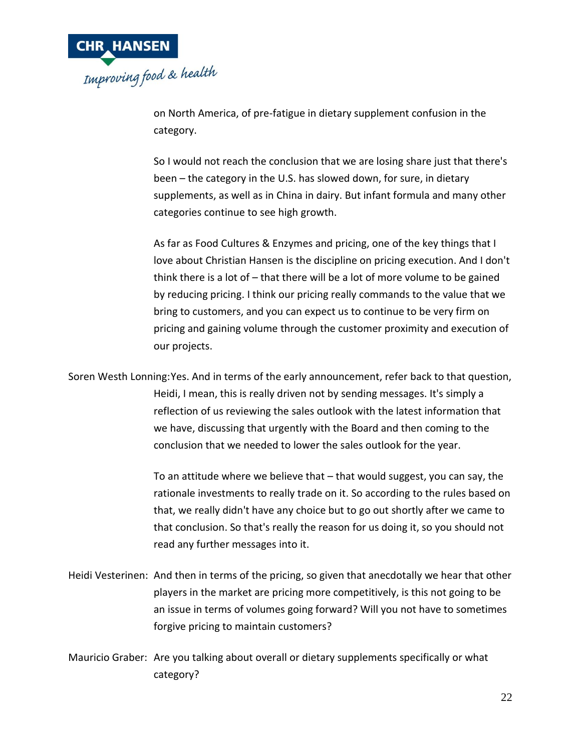

on North America, of pre-fatigue in dietary supplement confusion in the category.

So I would not reach the conclusion that we are losing share just that there's been – the category in the U.S. has slowed down, for sure, in dietary supplements, as well as in China in dairy. But infant formula and many other categories continue to see high growth.

As far as Food Cultures & Enzymes and pricing, one of the key things that I love about Christian Hansen is the discipline on pricing execution. And I don't think there is a lot of – that there will be a lot of more volume to be gained by reducing pricing. I think our pricing really commands to the value that we bring to customers, and you can expect us to continue to be very firm on pricing and gaining volume through the customer proximity and execution of our projects.

Soren Westh Lonning:Yes. And in terms of the early announcement, refer back to that question, Heidi, I mean, this is really driven not by sending messages. It's simply a reflection of us reviewing the sales outlook with the latest information that we have, discussing that urgently with the Board and then coming to the conclusion that we needed to lower the sales outlook for the year.

> To an attitude where we believe that – that would suggest, you can say, the rationale investments to really trade on it. So according to the rules based on that, we really didn't have any choice but to go out shortly after we came to that conclusion. So that's really the reason for us doing it, so you should not read any further messages into it.

Heidi Vesterinen: And then in terms of the pricing, so given that anecdotally we hear that other players in the market are pricing more competitively, is this not going to be an issue in terms of volumes going forward? Will you not have to sometimes forgive pricing to maintain customers?

Mauricio Graber: Are you talking about overall or dietary supplements specifically or what category?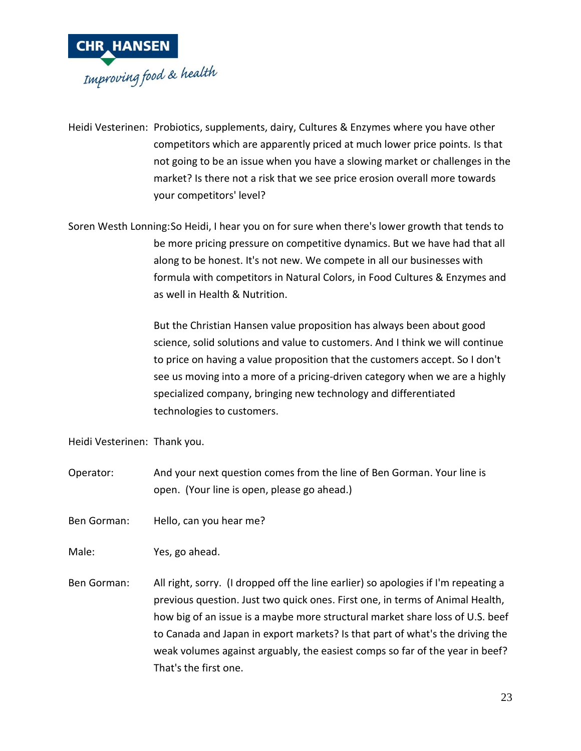

Heidi Vesterinen: Probiotics, supplements, dairy, Cultures & Enzymes where you have other competitors which are apparently priced at much lower price points. Is that not going to be an issue when you have a slowing market or challenges in the market? Is there not a risk that we see price erosion overall more towards your competitors' level?

Soren Westh Lonning:So Heidi, I hear you on for sure when there's lower growth that tends to be more pricing pressure on competitive dynamics. But we have had that all along to be honest. It's not new. We compete in all our businesses with formula with competitors in Natural Colors, in Food Cultures & Enzymes and as well in Health & Nutrition.

> But the Christian Hansen value proposition has always been about good science, solid solutions and value to customers. And I think we will continue to price on having a value proposition that the customers accept. So I don't see us moving into a more of a pricing-driven category when we are a highly specialized company, bringing new technology and differentiated technologies to customers.

Heidi Vesterinen: Thank you.

Operator: And your next question comes from the line of Ben Gorman. Your line is open. (Your line is open, please go ahead.)

Ben Gorman: Hello, can you hear me?

Male: Yes, go ahead.

Ben Gorman: All right, sorry. (I dropped off the line earlier) so apologies if I'm repeating a previous question. Just two quick ones. First one, in terms of Animal Health, how big of an issue is a maybe more structural market share loss of U.S. beef to Canada and Japan in export markets? Is that part of what's the driving the weak volumes against arguably, the easiest comps so far of the year in beef? That's the first one.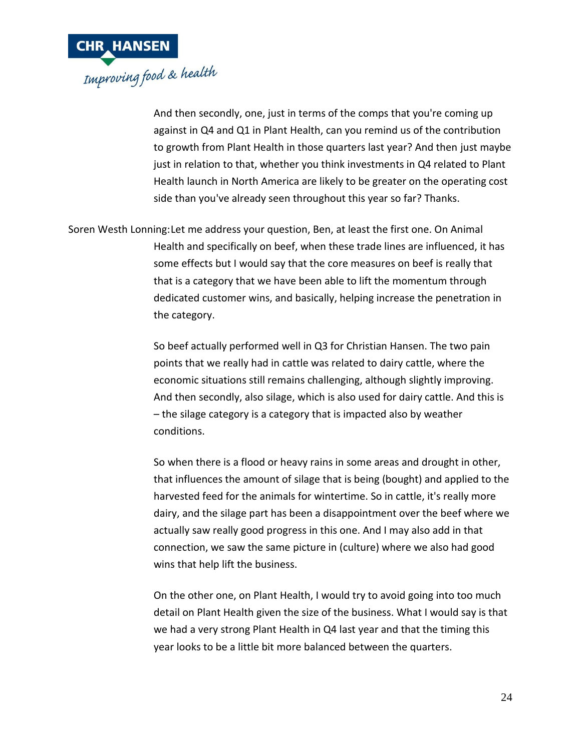

And then secondly, one, just in terms of the comps that you're coming up against in Q4 and Q1 in Plant Health, can you remind us of the contribution to growth from Plant Health in those quarters last year? And then just maybe just in relation to that, whether you think investments in Q4 related to Plant Health launch in North America are likely to be greater on the operating cost side than you've already seen throughout this year so far? Thanks.

Soren Westh Lonning:Let me address your question, Ben, at least the first one. On Animal Health and specifically on beef, when these trade lines are influenced, it has some effects but I would say that the core measures on beef is really that that is a category that we have been able to lift the momentum through dedicated customer wins, and basically, helping increase the penetration in the category.

> So beef actually performed well in Q3 for Christian Hansen. The two pain points that we really had in cattle was related to dairy cattle, where the economic situations still remains challenging, although slightly improving. And then secondly, also silage, which is also used for dairy cattle. And this is – the silage category is a category that is impacted also by weather conditions.

So when there is a flood or heavy rains in some areas and drought in other, that influences the amount of silage that is being (bought) and applied to the harvested feed for the animals for wintertime. So in cattle, it's really more dairy, and the silage part has been a disappointment over the beef where we actually saw really good progress in this one. And I may also add in that connection, we saw the same picture in (culture) where we also had good wins that help lift the business.

On the other one, on Plant Health, I would try to avoid going into too much detail on Plant Health given the size of the business. What I would say is that we had a very strong Plant Health in Q4 last year and that the timing this year looks to be a little bit more balanced between the quarters.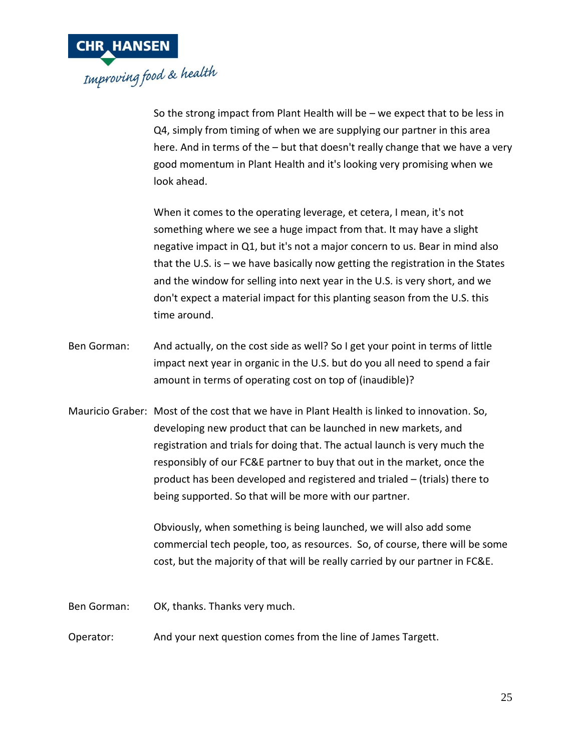

So the strong impact from Plant Health will be – we expect that to be less in Q4, simply from timing of when we are supplying our partner in this area here. And in terms of the – but that doesn't really change that we have a very good momentum in Plant Health and it's looking very promising when we look ahead.

When it comes to the operating leverage, et cetera, I mean, it's not something where we see a huge impact from that. It may have a slight negative impact in Q1, but it's not a major concern to us. Bear in mind also that the U.S. is – we have basically now getting the registration in the States and the window for selling into next year in the U.S. is very short, and we don't expect a material impact for this planting season from the U.S. this time around.

- Ben Gorman: And actually, on the cost side as well? So I get your point in terms of little impact next year in organic in the U.S. but do you all need to spend a fair amount in terms of operating cost on top of (inaudible)?
- Mauricio Graber: Most of the cost that we have in Plant Health is linked to innovation. So, developing new product that can be launched in new markets, and registration and trials for doing that. The actual launch is very much the responsibly of our FC&E partner to buy that out in the market, once the product has been developed and registered and trialed – (trials) there to being supported. So that will be more with our partner.

Obviously, when something is being launched, we will also add some commercial tech people, too, as resources. So, of course, there will be some cost, but the majority of that will be really carried by our partner in FC&E.

Ben Gorman: OK, thanks. Thanks very much.

Operator: And your next question comes from the line of James Targett.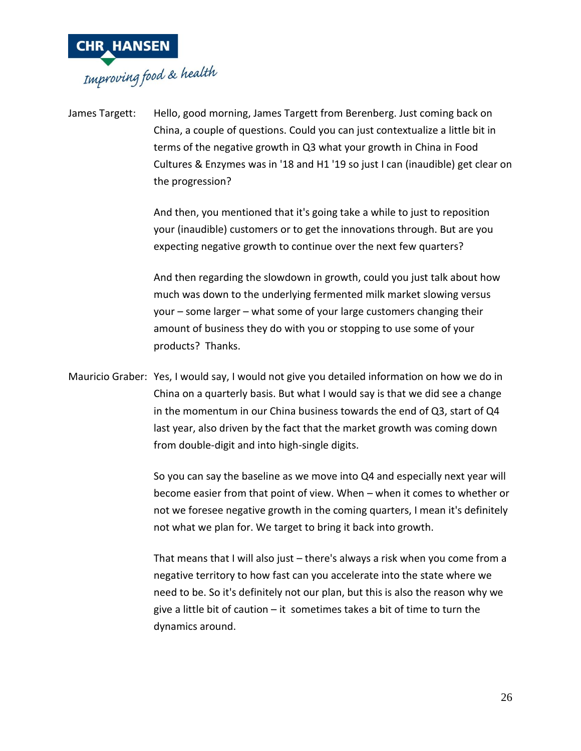

James Targett: Hello, good morning, James Targett from Berenberg. Just coming back on China, a couple of questions. Could you can just contextualize a little bit in terms of the negative growth in Q3 what your growth in China in Food Cultures & Enzymes was in '18 and H1 '19 so just I can (inaudible) get clear on the progression?

> And then, you mentioned that it's going take a while to just to reposition your (inaudible) customers or to get the innovations through. But are you expecting negative growth to continue over the next few quarters?

And then regarding the slowdown in growth, could you just talk about how much was down to the underlying fermented milk market slowing versus your – some larger – what some of your large customers changing their amount of business they do with you or stopping to use some of your products? Thanks.

Mauricio Graber: Yes, I would say, I would not give you detailed information on how we do in China on a quarterly basis. But what I would say is that we did see a change in the momentum in our China business towards the end of Q3, start of Q4 last year, also driven by the fact that the market growth was coming down from double-digit and into high-single digits.

> So you can say the baseline as we move into Q4 and especially next year will become easier from that point of view. When – when it comes to whether or not we foresee negative growth in the coming quarters, I mean it's definitely not what we plan for. We target to bring it back into growth.

> That means that I will also just – there's always a risk when you come from a negative territory to how fast can you accelerate into the state where we need to be. So it's definitely not our plan, but this is also the reason why we give a little bit of caution – it sometimes takes a bit of time to turn the dynamics around.